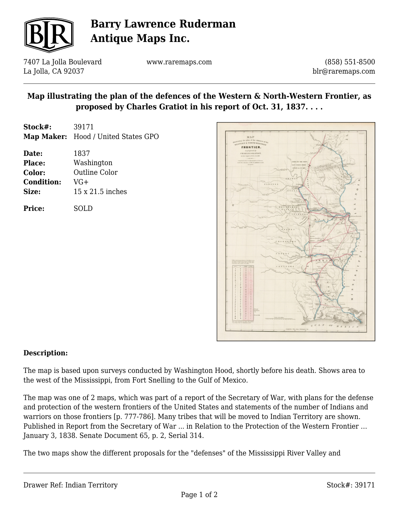

# **Barry Lawrence Ruderman Antique Maps Inc.**

7407 La Jolla Boulevard La Jolla, CA 92037

www.raremaps.com

(858) 551-8500 blr@raremaps.com

## **Map illustrating the plan of the defences of the Western & North-Western Frontier, as proposed by Charles Gratiot in his report of Oct. 31, 1837. . . .**

- **Stock#:** 39171 **Map Maker:** Hood / United States GPO
- **Date:** 1837 **Place:** Washington **Color:** Outline Color **Condition:** VG+ **Size:** 15 x 21.5 inches

**Price:** SOLD



#### **Description:**

The map is based upon surveys conducted by Washington Hood, shortly before his death. Shows area to the west of the Mississippi, from Fort Snelling to the Gulf of Mexico.

The map was one of 2 maps, which was part of a report of the Secretary of War, with plans for the defense and protection of the western frontiers of the United States and statements of the number of Indians and warriors on those frontiers [p. 777-786]. Many tribes that will be moved to Indian Territory are shown. Published in Report from the Secretary of War ... in Relation to the Protection of the Western Frontier … January 3, 1838. Senate Document 65, p. 2, Serial 314.

The two maps show the different proposals for the "defenses" of the Mississippi River Valley and